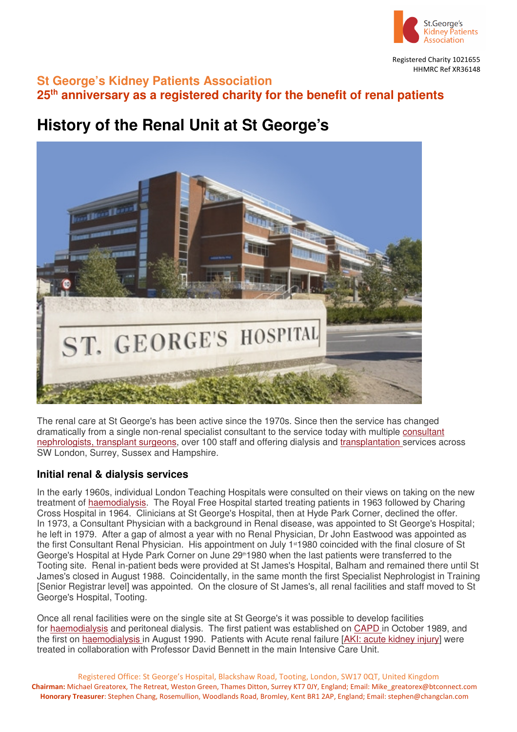

Registered Charity 1021655 HHMRC Ref XR36148

## **St George's Kidney Patients Association 25th anniversary as a registered charity for the benefit of renal patients**

# **History of the Renal Unit at St George's**



The renal care at St George's has been active since the 1970s. Since then the service has changed dramatically from a single non-renal specialist consultant to the service today with multiple consultant nephrologists, transplant surgeons, over 100 staff and offering dialysis and transplantation services across SW London, Surrey, Sussex and Hampshire.

## **Initial renal & dialysis services**

In the early 1960s, individual London Teaching Hospitals were consulted on their views on taking on the new treatment of haemodialysis. The Royal Free Hospital started treating patients in 1963 followed by Charing Cross Hospital in 1964. Clinicians at St George's Hospital, then at Hyde Park Corner, declined the offer. In 1973, a Consultant Physician with a background in Renal disease, was appointed to St George's Hospital; he left in 1979. After a gap of almost a year with no Renal Physician, Dr John Eastwood was appointed as the first Consultant Renal Physician. His appointment on July 1<sup>st</sup>1980 coincided with the final closure of St George's Hospital at Hyde Park Corner on June 29<sup>th</sup>1980 when the last patients were transferred to the Tooting site. Renal in-patient beds were provided at St James's Hospital, Balham and remained there until St James's closed in August 1988. Coincidentally, in the same month the first Specialist Nephrologist in Training [Senior Registrar level] was appointed. On the closure of St James's, all renal facilities and staff moved to St George's Hospital, Tooting.

Once all renal facilities were on the single site at St George's it was possible to develop facilities for haemodialysis and peritoneal dialysis. The first patient was established on CAPD in October 1989, and the first on haemodialysis in August 1990. Patients with Acute renal failure [AKI: acute kidney injury] were treated in collaboration with Professor David Bennett in the main Intensive Care Unit.

Registered Office: St George's Hospital, Blackshaw Road, Tooting, London, SW17 0QT, United Kingdom **Chairman:** Michael Greatorex, The Retreat, Weston Green, Thames Ditton, Surrey KT7 0JY, England; Email: Mike\_greatorex@btconnect.com **Honorary Treasurer**: Stephen Chang, Rosemullion, Woodlands Road, Bromley, Kent BR1 2AP, England; Email: stephen@changclan.com